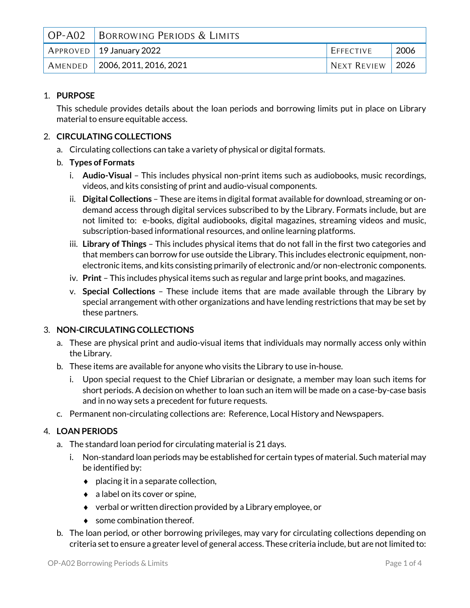| OP-A02 BORROWING PERIODS & LIMITS |                  |             |
|-----------------------------------|------------------|-------------|
| $APPROVED$ 19 January 2022        | <b>EFFECTIVE</b> | 2006        |
| AMENDED 2006, 2011, 2016, 2021    | NEXT REVIEW      | $\mid$ 2026 |

# 1. **PURPOSE**

This schedule provides details about the loan periods and borrowing limits put in place on Library material to ensure equitable access.

# 2. **CIRCULATING COLLECTIONS**

- a. Circulating collections can take a variety of physical or digital formats.
- b. **Types of Formats**
	- i. **Audio-Visual** This includes physical non-print items such as audiobooks, music recordings, videos, and kits consisting of print and audio-visual components.
	- ii. **Digital Collections** These are items in digital format available for download, streaming or ondemand access through digital services subscribed to by the Library. Formats include, but are not limited to: e-books, digital audiobooks, digital magazines, streaming videos and music, subscription-based informational resources, and online learning platforms.
	- iii. **Library of Things** This includes physical items that do not fall in the first two categories and that members can borrow for use outside the Library. This includes electronic equipment, nonelectronic items, and kits consisting primarily of electronic and/or non-electronic components.
	- iv. **Print** This includes physical items such as regular and large print books, and magazines.
	- v. **Special Collections** These include items that are made available through the Library by special arrangement with other organizations and have lending restrictions that may be set by these partners.

## 3. **NON-CIRCULATING COLLECTIONS**

- a. These are physical print and audio-visual items that individuals may normally access only within the Library.
- b. These items are available for anyone who visits the Library to use in-house.
	- i. Upon special request to the Chief Librarian or designate, a member may loan such items for short periods. A decision on whether to loan such an item will be made on a case-by-case basis and in no way sets a precedent for future requests.
- c. Permanent non-circulating collections are: Reference, Local History and Newspapers.

## 4. **LOAN PERIODS**

- a. The standard loan period for circulating material is 21 days.
	- i. Non-standard loan periods may be established for certain types of material. Such material may be identified by:
		- $\bullet$  placing it in a separate collection,
		- $\bullet$  a label on its cover or spine,
		- $\bullet$  verbal or written direction provided by a Library employee, or
		- ◆ some combination thereof.
- b. The loan period, or other borrowing privileges, may vary for circulating collections depending on criteria set to ensure a greater level of general access. These criteria include, but are not limited to: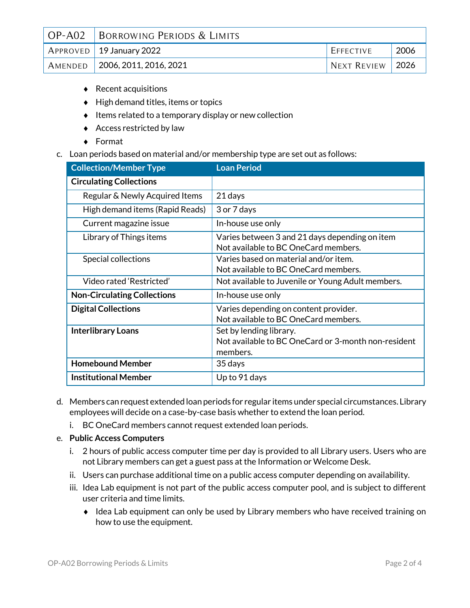| OP-A02 BORROWING PERIODS & LIMITS            |             |             |
|----------------------------------------------|-------------|-------------|
| $\vert$ APPROVED $\vert$ 19 January 2022     | EFFECTIVE   | 2006        |
| $\mid$ Amended $\mid$ 2006, 2011, 2016, 2021 | NEXT REVIEW | $\mid$ 2026 |

- ◆ Recent acquisitions
- $\bullet$  High demand titles, items or topics
- $\bullet$  Items related to a temporary display or new collection
- $\triangleleft$  Access restricted by law
- Format
- c. Loan periods based on material and/or membership type are set out as follows:

| <b>Collection/Member Type</b>      | <b>Loan Period</b>                                                                         |
|------------------------------------|--------------------------------------------------------------------------------------------|
| <b>Circulating Collections</b>     |                                                                                            |
| Regular & Newly Acquired Items     | 21 days                                                                                    |
| High demand items (Rapid Reads)    | 3 or 7 days                                                                                |
| Current magazine issue             | In-house use only                                                                          |
| Library of Things items            | Varies between 3 and 21 days depending on item<br>Not available to BC OneCard members.     |
| Special collections                | Varies based on material and/or item.<br>Not available to BC OneCard members.              |
| Video rated 'Restricted'           | Not available to Juvenile or Young Adult members.                                          |
| <b>Non-Circulating Collections</b> | In-house use only                                                                          |
| <b>Digital Collections</b>         | Varies depending on content provider.<br>Not available to BC OneCard members.              |
| <b>Interlibrary Loans</b>          | Set by lending library.<br>Not available to BC OneCard or 3-month non-resident<br>members. |
| <b>Homebound Member</b>            | 35 days                                                                                    |
| <b>Institutional Member</b>        | Up to 91 days                                                                              |

- d. Members can request extended loan periods for regular items under special circumstances. Library employees will decide on a case-by-case basis whether to extend the loan period.
	- i. BC OneCard members cannot request extended loan periods.

### e. **Public Access Computers**

- i. 2 hours of public access computer time per day is provided to all Library users. Users who are not Library members can get a guest pass at the Information or Welcome Desk.
- ii. Users can purchase additional time on a public access computer depending on availability.
- iii. Idea Lab equipment is not part of the public access computer pool, and is subject to different user criteria and time limits.
	- Idea Lab equipment can only be used by Library members who have received training on how to use the equipment.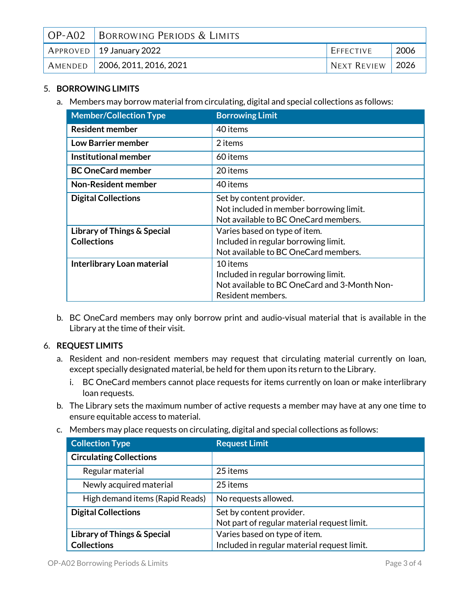| $OP-AO2$ | BORROWING PERIODS & LIMITS                   |             |              |
|----------|----------------------------------------------|-------------|--------------|
|          | $\mid$ Approved $\mid$ 19 January 2022       | EFFECTIVE   | 2006         |
|          | $\mid$ Amended $\mid$ 2006, 2011, 2016, 2021 | NEXT REVIEW | $\vert$ 2026 |

# 5. **BORROWING LIMITS**

a. Members may borrow material from circulating, digital and special collections as follows:

| <b>Member/Collection Type</b>                     | <b>Borrowing Limit</b>                                                                                                |
|---------------------------------------------------|-----------------------------------------------------------------------------------------------------------------------|
| <b>Resident member</b>                            | 40 items                                                                                                              |
| <b>Low Barrier member</b>                         | 2 items                                                                                                               |
| Institutional member                              | 60 items                                                                                                              |
| <b>BC OneCard member</b>                          | 20 items                                                                                                              |
| <b>Non-Resident member</b>                        | 40 items                                                                                                              |
| <b>Digital Collections</b>                        | Set by content provider.<br>Not included in member borrowing limit.<br>Not available to BC OneCard members.           |
| Library of Things & Special<br><b>Collections</b> | Varies based on type of item.<br>Included in regular borrowing limit.<br>Not available to BC OneCard members.         |
| Interlibrary Loan material                        | 10 items<br>Included in regular borrowing limit.<br>Not available to BC OneCard and 3-Month Non-<br>Resident members. |

b. BC OneCard members may only borrow print and audio-visual material that is available in the Library at the time of their visit.

## 6. **REQUEST LIMITS**

- a. Resident and non-resident members may request that circulating material currently on loan, except specially designated material, be held for them upon its return to the Library.
	- i. BC OneCard members cannot place requests for items currently on loan or make interlibrary loan requests.
- b. The Library sets the maximum number of active requests a member may have at any one time to ensure equitable access to material.
- c. Members may place requests on circulating, digital and special collections as follows:

| <b>Collection Type</b>                 | <b>Request Limit</b>                        |
|----------------------------------------|---------------------------------------------|
| <b>Circulating Collections</b>         |                                             |
| Regular material                       | 25 items                                    |
| Newly acquired material                | 25 items                                    |
| High demand items (Rapid Reads)        | No requests allowed.                        |
| <b>Digital Collections</b>             | Set by content provider.                    |
|                                        | Not part of regular material request limit. |
| <b>Library of Things &amp; Special</b> | Varies based on type of item.               |
| <b>Collections</b>                     | Included in regular material request limit. |